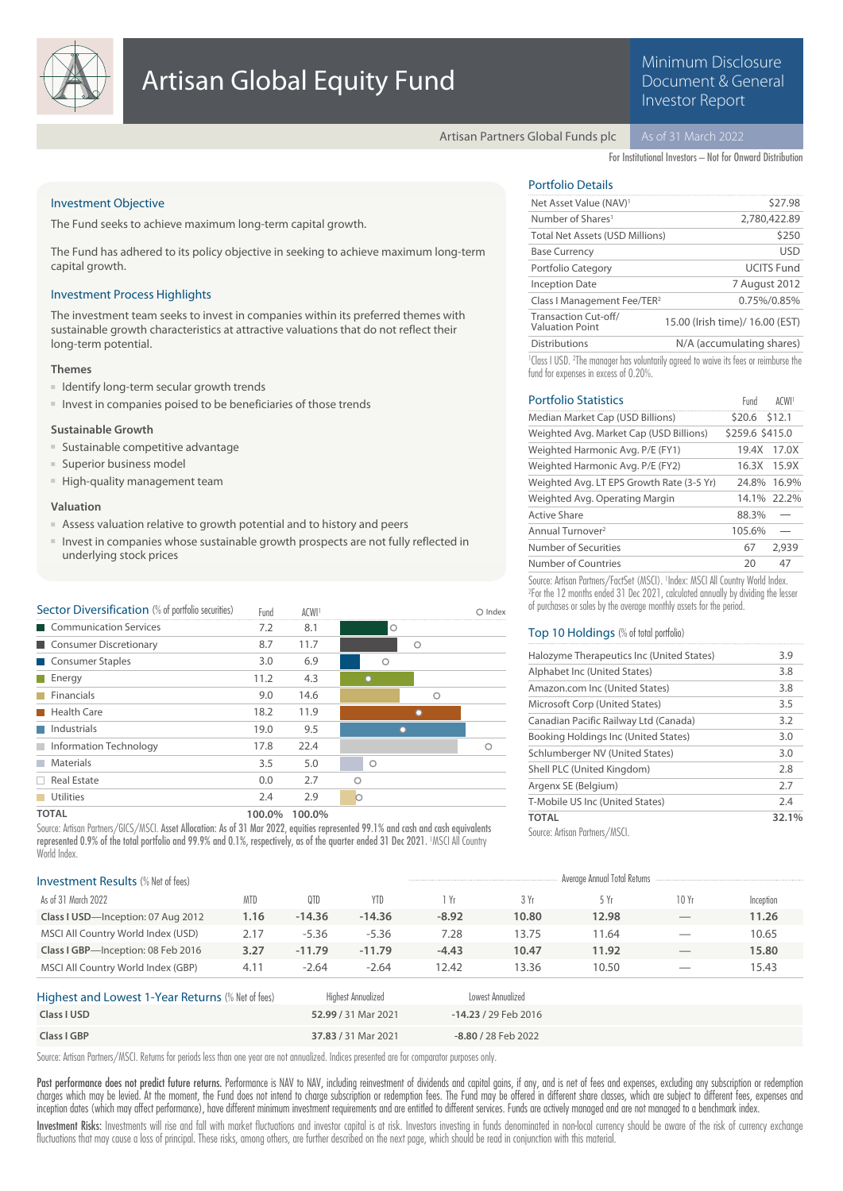

# Minimum Disclosure Document & General Investor Report

Artisan Partners Global Funds plc

For Institutional Investors – Not for Onward Distribution

# Investment Objective

The Fund seeks to achieve maximum long-term capital growth.

The Fund has adhered to its policy objective in seeking to achieve maximum long-term capital growth.

# Investment Process Highlights

The investment team seeks to invest in companies within its preferred themes with sustainable growth characteristics at attractive valuations that do not reflect their long-term potential.

# **Themes**

- Identify long-term secular growth trends
- Invest in companies poised to be beneficiaries of those trends

### **Sustainable Growth**

- Sustainable competitive advantage
- Superior business model
- High-quality management team

#### **Valuation**

- Assess valuation relative to growth potential and to history and peers
- Invest in companies whose sustainable growth prospects are not fully reflected in underlying stock prices

| Sector Diversification (% of portfolio securities) | Fund   | <b>ACWI</b> |         |            | O Index |
|----------------------------------------------------|--------|-------------|---------|------------|---------|
| Communication Services                             | 7.2    | 8.1         | $\circ$ |            |         |
| Consumer Discretionary                             | 8.7    | 11.7        |         | Ο          |         |
| Consumer Staples                                   | 3.0    | 6.9         | Ω       |            |         |
| $\blacksquare$ Energy                              | 11.2   | 4.3         |         |            |         |
| Financials                                         | 9.0    | 14.6        |         | $\bigcirc$ |         |
| <b>Health Care</b>                                 | 18.2   | 11.9        |         |            |         |
| $\blacksquare$ Industrials                         | 19.0   | 9.5         |         |            |         |
| Information Technology                             | 17.8   | 22.4        |         |            |         |
| Materials                                          | 3.5    | 5.0         | $\circ$ |            |         |
| $\Box$ Real Estate                                 | 0.0    | 2.7         | O       |            |         |
| Utilities                                          | 2.4    | 2.9         |         |            |         |
| <b>TOTAL</b>                                       | 100.0% | 100.0%      |         |            |         |

Source: Artisan Partners/GICS/MSCI. Asset Allocation: As of 31 Mar 2022, equities represented 99.1% and cash and cash equivalents represented 0.9% of the total portfolio and 99.9% and 0.1%, respectively, as of the quarter ended 31 Dec 2021. IMSCI All Country World Index.

Portfolio Details

| Net Asset Value (NAV) <sup>1</sup>             | \$27.98                         |
|------------------------------------------------|---------------------------------|
| Number of Shares <sup>1</sup>                  | 2,780,422.89                    |
| Total Net Assets (USD Millions)                | \$250                           |
| <b>Base Currency</b>                           | <b>USD</b>                      |
| Portfolio Category                             | <b>UCITS Fund</b>               |
| <b>Inception Date</b>                          | 7 August 2012                   |
| Class I Management Fee/TER <sup>2</sup>        | 0.75%/0.85%                     |
| Transaction Cut-off/<br><b>Valuation Point</b> | 15.00 (Irish time)/ 16.00 (EST) |
| <b>Distributions</b>                           | N/A (accumulating shares)       |
|                                                |                                 |

<sup>1</sup> Class I USD. <sup>2</sup>The manager has voluntarily agreed to waive its fees or reimburse the fund for expenses in excess of 0.20%.

| <b>Portfolio Statistics</b>               | Fund            | ACWI <sup>1</sup> |
|-------------------------------------------|-----------------|-------------------|
| Median Market Cap (USD Billions)          | \$20.6 \$12.1   |                   |
| Weighted Avg. Market Cap (USD Billions)   | \$259.6 \$415.0 |                   |
| Weighted Harmonic Avg. P/E (FY1)          | 19.4X           | 17.0X             |
| Weighted Harmonic Avg. P/E (FY2)          | 16.3X           | 15.9X             |
| Weighted Avg. LT EPS Growth Rate (3-5 Yr) |                 | 24.8% 16.9%       |
| Weighted Avg. Operating Margin            |                 | 14.1% 22.2%       |
| <b>Active Share</b>                       | 88.3%           |                   |
| Annual Turnover <sup>2</sup>              | 105.6%          |                   |
| Number of Securities                      | 67              | 2.939             |
| Number of Countries                       | 20              | 47                |
|                                           |                 |                   |

Source: Artisan Partners/FactSet (MSCI). <sup>1</sup> Index: MSCI All Country World Index. 2 For the 12 months ended 31 Dec 2021, calculated annually by dividing the lesser of purchases or sales by the average monthly assets for the period.

# Top 10 Holdings (% of total portfolio)

| Halozyme Therapeutics Inc (United States) | 3.9   |
|-------------------------------------------|-------|
| Alphabet Inc (United States)              | 3.8   |
| Amazon.com Inc (United States)            | 3.8   |
| Microsoft Corp (United States)            | 3.5   |
| Canadian Pacific Railway Ltd (Canada)     | 3.2   |
| Booking Holdings Inc (United States)      | 3.0   |
| Schlumberger NV (United States)           | 3.0   |
| Shell PLC (United Kingdom)                | 2.8   |
| Argenx SE (Belgium)                       | 2.7   |
| T-Mobile US Inc (United States)           | 2.4   |
| TOTAL                                     | 32.1% |
|                                           |       |

Source: Artisan Partners/MSCI.

| <b>Investment Results (% Net of fees)</b>         |            |          |                           |         |                      | Average Annual Total Returns |                               |           |
|---------------------------------------------------|------------|----------|---------------------------|---------|----------------------|------------------------------|-------------------------------|-----------|
| As of 31 March 2022                               | <b>MTD</b> | QTD      | <b>YTD</b>                | l Yr    | 3 Yr                 | 5 Yr                         | 10Yr                          | Inception |
| Class I USD-Inception: 07 Aug 2012                | 1.16       | $-14.36$ | $-14.36$                  | $-8.92$ | 10.80                | 12.98                        |                               | 11.26     |
| MSCI All Country World Index (USD)                | 2.17       | $-5.36$  | $-5.36$                   | 7.28    | 13.75                | 11.64                        |                               | 10.65     |
| Class I GBP-Inception: 08 Feb 2016                | 3.27       | $-11.79$ | $-11.79$                  | $-4.43$ | 10.47                | 11.92                        | $\overbrace{\phantom{12333}}$ | 15.80     |
| MSCI All Country World Index (GBP)                | 4.11       | $-2.64$  | $-2.64$                   | 12.42   | 13.36                | 10.50                        |                               | 15.43     |
| Highest and Lowest 1-Year Returns (% Net of fees) |            |          | <b>Highest Annualized</b> |         | Lowest Annualized    |                              |                               |           |
| Class I USD                                       |            |          | 52.99 / 31 Mar 2021       |         | -14.23 / 29 Feb 2016 |                              |                               |           |
| Class I GBP                                       |            |          | 37.83 / 31 Mar 2021       |         | -8.80 / 28 Feb 2022  |                              |                               |           |

Source: Artisan Partners/MSCI. Returns for periods less than one year are not annualized. Indices presented are for comparator purposes only.

Past performance does not predict future returns. Performance is NAV to NAV, including reinvestment of dividends and capital gains, if any, and is net of fees and expenses, excluding any subscription or redemption charges which may be levied. At the moment, the Fund does not intend to charge subscription or redemption fees. The Fund may be offered in different share classes, which are subject to different fees, expenses and inception dates (which may affect performance), have different minimum investment requirements and are entitled to different services. Funds are actively managed and are not managed to a benchmark index.

Investment Risks: Investments will rise and fall with market fluctuations and investor capital is at risk. Investors investing in funds denominated in non-local currency should be aware of the risk of currency exchange fluctuations that may cause a loss of principal. These risks, among others, are further described on the next page, which should be read in conjunction with this material.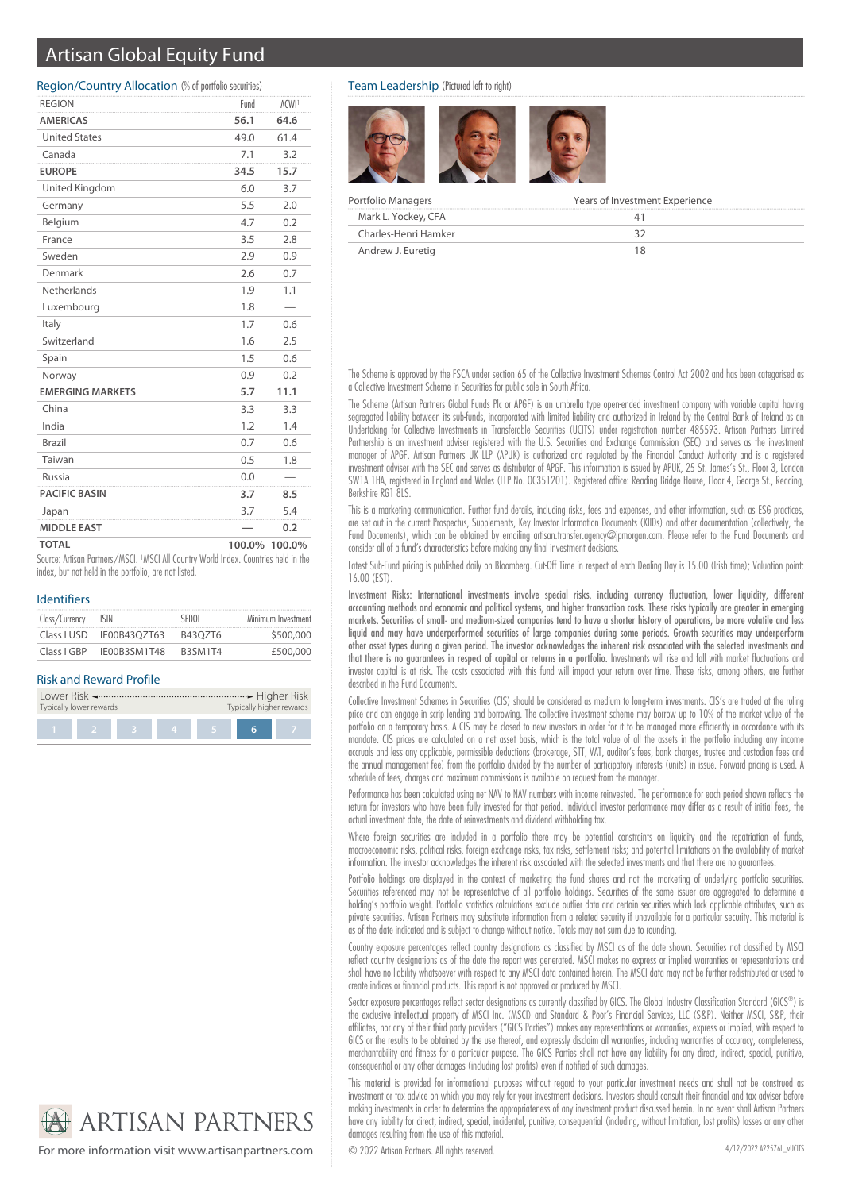# Artisan Global Equity Fund

#### Region/Country Allocation (% of portfolio securities)

| <b>REGION</b>           | Fund   | ACWI <sup>1</sup> |
|-------------------------|--------|-------------------|
| <b>AMERICAS</b>         | 56.1   | 64.6              |
| <b>United States</b>    | 49.0   | 61.4              |
| Canada                  | 7.1    | 3.2               |
| <b>EUROPE</b>           | 34.5   | 15.7              |
| United Kingdom          | 6.0    | 3.7               |
| Germany                 | 5.5    | 2.0               |
| Belgium                 | 4.7    | 0.2               |
| France                  | 3.5    | 2.8               |
| Sweden                  | 2.9    | 0.9               |
| Denmark                 | 2.6    | 0.7               |
| Netherlands             | 1.9    | 1.1               |
| Luxembourg              | 1.8    |                   |
| Italy                   | 1.7    | 0.6               |
| Switzerland             | 1.6    | 2.5               |
| Spain                   | 1.5    | 0.6               |
| Norway                  | 0.9    | 0.2               |
| <b>EMERGING MARKETS</b> | 5.7    | 11.1              |
| China                   | 3.3    | 3.3               |
| India                   | 1.2    | 1.4               |
| <b>Brazil</b>           | 0.7    | 0.6               |
| Taiwan                  | 0.5    | 1.8               |
| Russia                  | 0.0    |                   |
| <b>PACIFIC BASIN</b>    | 3.7    | 8.5               |
| Japan                   | 3.7    | 5.4               |
| <b>MIDDLE EAST</b>      |        | 0.2               |
| <b>TOTAL</b>            | 100.0% | 100.0%            |

Source: Artisan Partners/MSCI. <sup>1</sup>MSCI All Country World Index. Countries held in the index, but not held in the portfolio, are not listed.

## Identifiers

| Class/Currency | – ISIN                   | SEDOL          | Minimum Investment |
|----------------|--------------------------|----------------|--------------------|
|                | Class I USD IE00B43OZT63 | B43OZT6        | \$500,000          |
| Class LGBP     | IE00B3SM1T48             | <b>B3SM1T4</b> | £500,000           |

# Risk and Reward Profile

| Typically lower rewards |  |  |  | Typically higher rewards |  |
|-------------------------|--|--|--|--------------------------|--|
|                         |  |  |  |                          |  |



For more information visit www.artisanpartners.com © 2022 Artisan Partners. All rights reserved.

# Team Leadership (Pictured left to right)





| i vitiviiv ivialiageis | <b>I CAIS OF INVESTMENT LADENCITLE</b> |  |  |
|------------------------|----------------------------------------|--|--|
| Mark L. Yockey, CFA    |                                        |  |  |
| Charles-Henri Hamker   |                                        |  |  |
| Andrew J. Euretig      |                                        |  |  |

The Scheme is approved by the FSCA under section 65 of the Collective Investment Schemes Control Act 2002 and has been categorised as a Collective Investment Scheme in Securities for public sale in South Africa.

The Scheme (Artisan Partners Global Funds Plc or APGF) is an umbrella type open-ended investment company with variable capital having segregated liability between its sub-funds, incorporated with limited liability and authorized in Ireland by the Central Bank of Ireland as an Undertaking for Collective Investments in Transferable Securities (UCITS) under registration number 485593. Artisan Partners Limited Partnership is an investment adviser registered with the U.S. Securities and Exchange Commission (SEC) and serves as the investment manager of APGF. Artisan Partners UK LLP (APUK) is authorized and regulated by the Financial Conduct Authority and is a registered investment adviser with the SEC and serves as distributor of APGF. This information is issued by APUK, 25 St. James's St., Floor 3, London SW1A 1HA, registered in England and Wales (LLP No. OC351201). Registered office: Reading Bridge House, Floor 4, George St., Reading, Berkshire RG1 8LS.

This is a marketing communication. Further fund details, including risks, fees and expenses, and other information, such as ESG practices, are set out in the current Prospectus, Supplements, Key Investor Information Documents (KIIDs) and other documentation (collectively, the Fund Documents), which can be obtained by emailing artisan.transfer.agency@jpmorgan.com. Please refer to the Fund Documents and consider all of a fund's characteristics before making any final investment decisions.

Latest Sub-Fund pricing is published daily on Bloomberg. Cut-Off Time in respect of each Dealing Day is 15.00 (Irish time); Valuation point: 16.00 (EST).

Investment Risks: International investments involve special risks, including currency fluctuation, lower liquidity, different accounting methods and economic and political systems, and higher transaction costs. These risks typically are greater in emerging markets. Securities of small- and medium-sized companies tend to have a shorter history of operations, be more volatile and less liquid and may have underperformed securities of large companies during some periods. Growth securities may underperform other asset types during a given period. The investor acknowledges the inherent risk associated with the selected investments and that there is no guarantees in respect of capital or returns in a portfolio. Investments will rise and fall with market fluctuations and investor capital is at risk. The costs associated with this fund will impact your return over time. These risks, among others, are further described in the Fund Documents.

Collective Investment Schemes in Securities (CIS) should be considered as medium to long-term investments. CIS's are traded at the ruling price and can engage in scrip lending and borrowing. The collective investment scheme may borrow up to 10% of the market value of the portfolio on a temporary basis. A CIS may be closed to new investors in order for it to be managed more efficiently in accordance with its mandate. CIS prices are calculated on a net asset basis, which is the total value of all the assets in the portfolio including any income accruals and less any applicable, permissible deductions (brokerage, STT, VAT, auditor's fees, bank charges, trustee and custodian fees and the annual management fee) from the portfolio divided by the number of participatory interests (units) in issue. Forward pricing is used. A schedule of fees, charges and maximum commissions is available on request from the manager.

Performance has been calculated using net NAV to NAV numbers with income reinvested. The performance for each period shown reflects the return for investors who have been fully invested for that period. Individual investor performance may differ as a result of initial fees, the actual investment date, the date of reinvestments and dividend withholding tax.

Where foreign securities are included in a portfolio there may be potential constraints on liquidity and the repatriation of funds, macroeconomic risks, political risks, foreign exchange risks, tax risks, settlement risks; and potential limitations on the availability of market information. The investor acknowledges the inherent risk associated with the selected investments and that there are no guarantees.

Portfolio holdings are displayed in the context of marketing the fund shares and not the marketing of underlying portfolio securities. Securities referenced may not be representative of all portfolio holdings. Securities of the same issuer are aggregated to determine a holding's portfolio weight. Portfolio statistics calculations exclude outlier data and certain securities which lack applicable attributes, such as private securities. Artisan Partners may substitute information from a related security if unavailable for a particular security. This material is as of the date indicated and is subject to change without notice. Totals may not sum due to rounding.

Country exposure percentages reflect country designations as classified by MSCI as of the date shown. Securities not classified by MSCI reflect country designations as of the date the report was generated. MSCI makes no express or implied warranties or representations and shall have no liability whatsoever with respect to any MSCI data contained herein. The MSCI data may not be further redistributed or used to create indices or financial products. This report is not approved or produced by MSCI.

Sector exposure percentages reflect sector designations as currently classified by GICS. The Global Industry Classification Standard (GICS®) is the exclusive intellectual property of MSCI Inc. (MSCI) and Standard & Poor's Financial Services, LLC (S&P). Neither MSCI, S&P, their affiliates, nor any of their third party providers ("GICS Parties") makes any representations or warranties, express or implied, with respect to GICS or the results to be obtained by the use thereof, and expressly disclaim all warranties, including warranties of accuracy, completeness, merchantability and fitness for a particular purpose. The GICS Parties shall not have any liability for any direct, indirect, special, punitive, consequential or any other damages (including lost profits) even if notified of such damages.

This material is provided for informational purposes without regard to your particular investment needs and shall not be construed as investment or tax advice on which you may rely for your investment decisions. Investors should consult their financial and tax adviser before making investments in order to determine the appropriateness of any investment product discussed herein. In no event shall Artisan Partners have any liability for direct, indirect, special, incidental, punitive, consequential (including, without limitation, lost profits) losses or any other damages resulting from the use of this material.